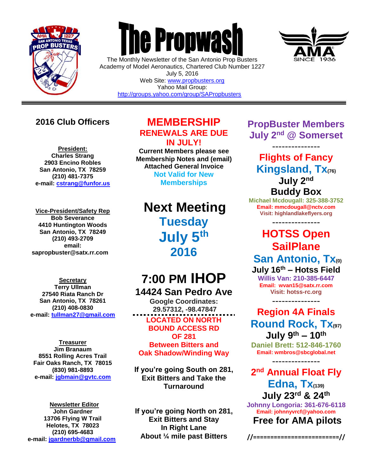

 $\overline{a}$ 

# **The Propwas**

The Monthly Newsletter of the San Antonio Prop Busters Academy of Model Aeronautics, Chartered Club Number 1227 July 5, 2016 Web Site: [www.propbusters.org](http://www.propbusters.org/) Yahoo Mail Group: <http://groups.yahoo.com/group/SAPropbusters>



## **2016 Club Officers**

**President: Charles Strang 2903 Encino Robles San Antonio, TX 78259 (210) 481-7375 e-mail: [cstrang@funfor.us](mailto:cstrang@funfor.us)**

**Vice-President/Safety Rep Bob Severance 4410 Huntington Woods San Antonio, TX 78249 (210) 493-2709 email: sapropbuster@satx.rr.com**

**Secretary Terry Ullman 27540 Riata Ranch Dr San Antonio, TX 78261 (210) 408-0830 e-mail: [tullman27@gmail.com](mailto:tullman27@gmail.com)**

**Treasurer Jim Branaum 8551 Rolling Acres Trail Fair Oaks Ranch, TX 78015 (830) 981-8893 e-mail: [jgbmain@gvtc.com](mailto:jgbmain@gvtc.com)**

**Newsletter Editor John Gardner 13706 Flying W Trail Helotes, TX 78023 (210) 695-4683 e-mail: [jgardnerbb@gmail.com](mailto:jgardnerbb@gmail.com)**

### **MEMBERSHIP RENEWALS ARE DUE IN JULY!**

**Current Members please see Membership Notes and (email) Attached General Invoice**

> **Not Valid for New Memberships**

# **Next Meeting Tuesday July 5 th 2016**

# **7:00 PM IHOP 14424 San Pedro Ave**

**Google Coordinates: 29.57312, -98.47847 LOCATED ON NORTH BOUND ACCESS RD OF 281 Between Bitters and Oak Shadow/Winding Way**

**If you're going South on 281, Exit Bitters and Take the Turnaround**

**If you're going North on 281, Exit Bitters and Stay In Right Lane About ¼ mile past Bitters**

**PropBuster Members July 2nd @ Somerset**

--------------- **Flights of Fancy Kingsland, Tx(76) July 2 nd Buddy Box**

**Michael Mcdougall: 325-388-3752 Email: mmcdougall@nctv.com Visit: highlandlakeflyers.org**

--------------- **HOTSS Open SailPlane San Antonio, Tx(0) July 16 th – Hotss Field**

**Willis Van: 210-385-6447 Email: wvan15@satx.rr.com Visit: hotss-rc.org**

---------------

**Region 4A Finals Round Rock, Tx(97) July 9 th – 10th**

**Daniel Brett: 512-846-1760 Email: wmbros@sbcglobal.net** ---------------

**2 nd Annual Float Fly Edna, Tx(139) July 23rd & 24th**

**Johnny Longoria: 361-676-6118 Email: johnnyvrcf@yahoo.com Free for AMA pilots**

**//=========================//**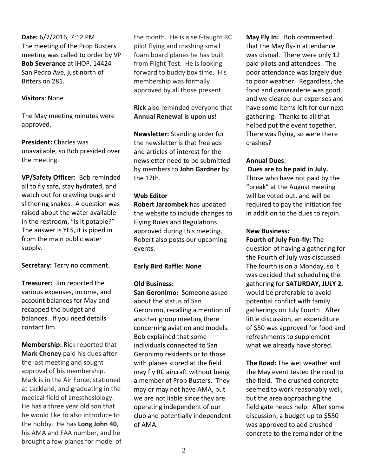**Date:** 6/7/2016, 7:12 PM The meeting of the Prop Busters meeting was called to order by VP **Bob Severance** at IHOP, 14424 San Pedro Ave, just north of Bitters on 281.

#### **Visitors**: None

The May meeting minutes were approved.

**President:** Charles was unavailable, so Bob presided over the meeting.

**VP/Safety Officer:** Bob reminded all to fly safe, stay hydrated, and watch out for crawling bugs and slithering snakes. A question was raised about the water available in the restroom, "Is it potable?" The answer is YES, it is piped in from the main public water supply.

**Secretary:** Terry no comment.

**Treasurer:** Jim reported the various expenses, income, and account balances for May and recapped the budget and balances. If you need details contact Jim.

**Membership:** Rick reported that **Mark Cheney** paid his dues after the last meeting and sought approval of his membership. Mark is in the Air Force, stationed at Lackland, and graduating in the medical field of anesthesiology. He has a three year old son that he would like to also introduce to the hobby. He has **Long John 40**, his AMA and FAA number, and he brought a few planes for model of the month. He is a self-taught RC pilot flying and crashing small foam board planes he has built from Flight Test. He is looking forward to buddy box time. His membership was formally approved by all those present.

**Rick** also reminded everyone that **Annual Renewal is upon us!**

**Newsletter:** Standing order for the newsletter is that free ads and articles of interest for the newsletter need to be submitted by members to **John Gardner** by the 17th.

#### **Web Editor**

**Robert Jarzombek** has updated the website to include changes to Flying Rules and Regulations approved during this meeting. Robert also posts our upcoming events.

#### **Early Bird Raffle: None**

#### **Old Business:**

**San Geronimo:** Someone asked about the status of San Geronimo, recalling a mention of another group meeting there concerning aviation and models. Bob explained that some individuals connected to San Geronimo residents or to those with planes stored at the field may fly RC aircraft without being a member of Prop Busters. They may or may not have AMA, but we are not liable since they are operating independent of our club and potentially independent of AMA.

**May Fly In:** Bob commented that the May fly-in attendance was dismal. There were only 12 paid pilots and attendees. The poor attendance was largely due to poor weather. Regardless, the food and camaraderie was good, and we cleared our expenses and have some items left for our next gathering. Thanks to all that helped put the event together. There was flying, so were there crashes?

#### **Annual Dues**:

#### **Dues are to be paid in July.**

Those who have not paid by the "break" at the August meeting will be voted out, and will be required to pay the initiation fee in addition to the dues to rejoin.

#### **New Business:**

**Fourth of July Fun-fly:** The question of having a gathering for the Fourth of July was discussed. The fourth is on a Monday, so it was decided that scheduling the gathering for **SATURDAY, JULY 2**, would be preferable to avoid potential conflict with family gatherings on July Fourth.After little discussion, an expenditure of \$50 was approved for food and refreshments to supplement what we already have stored.

**The Road:** The wet weather and the May event tested the road to the field. The crushed concrete seemed to work reasonably well, but the area approaching the field gate needs help. After some discussion, a budget up to \$550 was approved to add crushed concrete to the remainder of the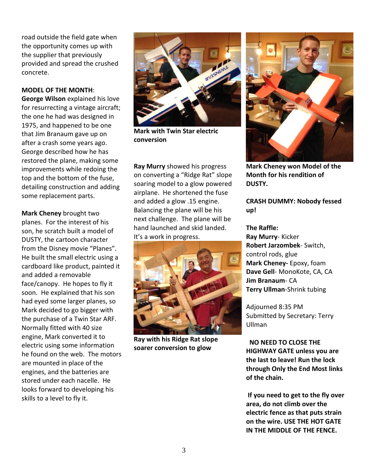road outside the field gate when the opportunity comes up with the supplier that previously provided and spread the crushed concrete.

#### **MODEL OF THE MONTH**:

**George Wilson** explained his love for resurrecting a vintage aircraft; the one he had was designed in 1975, and happened to be one that Jim Branaum gave up on after a crash some years ago. George described how he has restored the plane, making some improvements while redoing the top and the bottom of the fuse, detailing construction and adding some replacement parts.

**Mark Cheney** brought two planes. For the interest of his son, he scratch built a model of DUSTY, the cartoon character from the Disney movie "Planes". He built the small electric using a cardboard like product, painted it and added a removable face/canopy. He hopes to fly it soon. He explained that his son had eyed some larger planes, so Mark decided to go bigger with the purchase of a Twin Star ARF. Normally fitted with 40 size engine, Mark converted it to electric using some information he found on the web. The motors are mounted in place of the engines, and the batteries are stored under each nacelle. He looks forward to developing his skills to a level to fly it.



**Mark with Twin Star electric conversion**

**Ray Murry** showed his progress on converting a "Ridge Rat" slope soaring model to a glow powered airplane. He shortened the fuse and added a glow .15 engine. Balancing the plane will be his next challenge. The plane will be hand launched and skid landed. It's a work in progress.



**Ray with his Ridge Rat slope soarer conversion to glow**



**Mark Cheney won Model of the Month for his rendition of DUSTY.**

#### **CRASH DUMMY: Nobody fessed up!**

**The Raffle: Ray Murry**- Kicker **Robert Jarzombek**- Switch, control rods, glue **Mark Cheney-** Epoxy, foam **Dave Gell**- MonoKote, CA, CA **Jim Branaum**- CA **Terry Ullman**-Shrink tubing

Adjourned 8:35 PM Submitted by Secretary: Terry Ullman

 **NO NEED TO CLOSE THE HIGHWAY GATE unless you are the last to leave! Run the lock through Only the End Most links of the chain.**

**If you need to get to the fly over area, do not climb over the electric fence as that puts strain on the wire. USE THE HOT GATE IN THE MIDDLE OF THE FENCE.**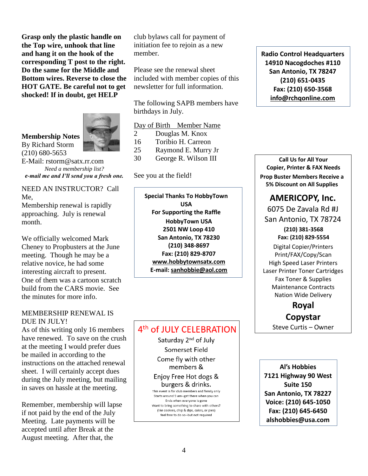**Grasp only the plastic handle on the Top wire, unhook that line and hang it on the hook of the corresponding T post to the right. Do the same for the Middle and Bottom wires. Reverse to close the HOT GATE. Be careful not to get shocked! If in doubt, get HELP**



#### **Membership Notes**

By Richard Storm (210) 680-5653

E-Mail: rstorm@satx.rr.com *Need a membership list? e-mail me and I'll send you a fresh one.*

NEED AN INSTRUCTOR? Call Me,

Membership renewal is rapidly approaching. July is renewal month.

We officially welcomed Mark Cheney to Propbusters at the June meeting. Though he may be a relative novice, he had some interesting aircraft to present. One of them was a cartoon scratch build from the CARS movie. See the minutes for more info.

#### MEMBERSHIP RENEWAL IS DUE IN JULY!

As of this writing only 16 members have renewed. To save on the crush at the meeting I would prefer dues be mailed in according to the instructions on the attached renewal sheet. I will certainly accept dues during the July meeting, but mailing in saves on hassle at the meeting.

Remember, membership will lapse if not paid by the end of the July Meeting. Late payments will be accepted until after Break at the August meeting. After that, the

club bylaws call for payment of initiation fee to rejoin as a new member.

Please see the renewal sheet included with member copies of this newsletter for full information.

The following SAPB members have birthdays in July.

|                       | Day of Birth Member Name |
|-----------------------|--------------------------|
| $\mathcal{D}_{\cdot}$ | Douglas M. Knox          |
| 16                    | Toribio H. Carreon       |
| 25                    | Raymond E. Murry Jr      |
| 30                    | George R. Wilson III     |

#### See you at the field!

**Special Thanks To HobbyTown USA For Supporting the Raffle HobbyTown USA 2501 NW Loop 410 San Antonio, TX 78230 (210) 348-8697 Fax: (210) 829-8707 [www.hobbytownsatx.com](http://www.hobbytownsatx.com/) E-mail: [sanhobbie@aol.com](mailto:sanhobbie@aol.com)**

#### 4<sup>th</sup> of JULY CELEBRATION

Saturday 2<sup>nd</sup> of July Somerset Field Come fly with other members &

Enjoy Free Hot dogs & burgers & drinks.

This event is for club members and family only Starts around 9 am--get there when you can Ends when everyone is gone Want to bring something to share with others? (like cookies, chip & dips, cakes, or pies) feel free to do so--but not required

**Radio Control Headquarters 14910 Nacogdoches #110 San Antonio, TX 78247 (210) 651-0435 Fax: (210) 650-3568 [info@rchqonline.com](mailto:info@rchqonline.com)**

**Call Us for All Your Copier, Printer & FAX Needs Prop Buster Members Receive a 5% Discount on All Supplies**

#### **AMERICOPY, Inc.**

6075 De Zavala Rd #J San Antonio, TX 78724 **(210) 381-3568 Fax: (210) 829-5554**

Digital Copier/Printers Print/FAX/Copy/Scan High Speed Laser Printers Laser Printer Toner Cartridges Fax Toner & Supplies Maintenance Contracts Nation Wide Delivery

#### **Royal Copystar**

Steve Curtis – Owner

**Al's Hobbies 7121 Highway 90 West Suite 150 San Antonio, TX 78227 Voice: (210) 645-1050 Fax: (210) 645-6450 alshobbies@usa.com**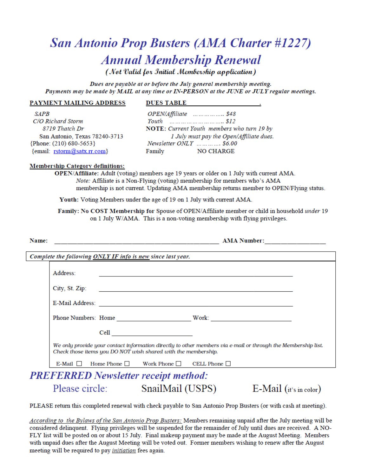# **San Antonio Prop Busters (AMA Charter #1227) Annual Membership Renewal**

(Not Valid for Initial Membership application)

Dues are payable at or before the July general membership meeting. Payments may be made by MAIL at any time or IN-PERSON at the JUNE or JULY regular meetings.

#### PAYMENT MAILING ADDRESS

#### **DUES TABLE**

**SAPB** C/O Richard Storm 8719 Thatch Dr San Antonio, Texas 78240-3713  ${Phone: (210) 680-5653}$ {email: rstorm@satx.rr.com}

OPEN/Affiliate ................. \$48 NOTE: Current Youth members who turn 19 by 1 July must pay the Open/Affiliate dues. Newsletter ONLY ............ \$6.00 **NO CHARGE** Family

#### **Membership Category definitions:**

OPEN/Affiliate: Adult (voting) members age 19 years or older on 1 July with current AMA. *Note:* Affiliate is a Non-Flying (voting) membership for members who's AMA membership is not current. Updating AMA membership returns member to OPEN/Flying status.

Youth: Voting Members under the age of 19 on 1 July with current AMA.

Family: No COST Membership for Spouse of OPEN/Affiliate member or child in household under 19 on 1 July W/AMA. This is a non-voting membership with flying privileges.

| Name:                                                       |                                                                                                                                                                                |  |                                                                                                                                                                                                                                    | AMA Number:<br><u> 1980 - Johann John Stone, mars and de British and de British and de British and de British and de British an</u> |                           |  |  |  |
|-------------------------------------------------------------|--------------------------------------------------------------------------------------------------------------------------------------------------------------------------------|--|------------------------------------------------------------------------------------------------------------------------------------------------------------------------------------------------------------------------------------|-------------------------------------------------------------------------------------------------------------------------------------|---------------------------|--|--|--|
| Complete the following ONLY IF info is new since last year. |                                                                                                                                                                                |  |                                                                                                                                                                                                                                    |                                                                                                                                     |                           |  |  |  |
|                                                             | Address:                                                                                                                                                                       |  |                                                                                                                                                                                                                                    |                                                                                                                                     |                           |  |  |  |
|                                                             |                                                                                                                                                                                |  |                                                                                                                                                                                                                                    | City, St. Zip:                                                                                                                      |                           |  |  |  |
|                                                             |                                                                                                                                                                                |  |                                                                                                                                                                                                                                    |                                                                                                                                     |                           |  |  |  |
|                                                             |                                                                                                                                                                                |  |                                                                                                                                                                                                                                    | Phone Numbers: Home <b>Numbers</b> and the Mork:                                                                                    |                           |  |  |  |
|                                                             |                                                                                                                                                                                |  | Cell <b>Cell Contract of the Contract of the Contract of the Contract of the Contract of the Contract of the Contract of the Contract of the Contract of the Contract of the Contract of the Contract of the Contract of the C</b> |                                                                                                                                     |                           |  |  |  |
|                                                             | We only provide your contact information directly to other members via e-mail or through the Membership list.<br>Check those items you DO NOT wish shared with the membership. |  |                                                                                                                                                                                                                                    |                                                                                                                                     |                           |  |  |  |
|                                                             |                                                                                                                                                                                |  | E-Mail $\Box$ Home Phone $\Box$ Work Phone $\Box$ CELL Phone $\Box$                                                                                                                                                                |                                                                                                                                     |                           |  |  |  |
| <b>PREFERRED</b> Newsletter receipt method:                 |                                                                                                                                                                                |  |                                                                                                                                                                                                                                    |                                                                                                                                     |                           |  |  |  |
|                                                             |                                                                                                                                                                                |  | Please circle: SnailMail (USPS)                                                                                                                                                                                                    |                                                                                                                                     | $E$ -Mail (it's in color) |  |  |  |

PLEASE return this completed renewal with check payable to San Antonio Prop Busters (or with cash at meeting).

According to the Bylaws of the San Antonio Prop Busters: Members remaining unpaid after the July meeting will be considered delinquent. Flying privileges will be suspended for the remainder of July until dues are received. A NO-FLY list will be posted on or about 15 July. Final makeup payment may be made at the August Meeting. Members with unpaid dues after the August Meeting will be voted out. Former members wishing to renew after the August meeting will be required to pay *initiation* fees again.